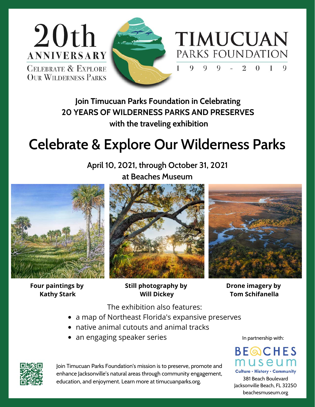



**Join Timucuan Parks Foundation in Celebrating 20 YEARS OF WILDERNESS PARKS AND PRESERVES with the traveling exhibition**

## **Celebrate & Explore Our Wilderness Parks**

**April 10, 2021, through October 31, 2021 at Beaches Museum**



**Four paintings by Kathy Stark**





**Still photography by Will Dickey**

**Drone imagery by Tom Schifanella**

The exhibition also features:

- a map of Northeast Florida's expansive preserves
- native animal cutouts and animal tracks
- an engaging speaker series

In partnership with:



Culture . History . Community 381 Beach Boulevard Jacksonville Beach, FL 32250 beachesmuseum.org



Join Timucuan Parks Foundation's mission is to preserve, promote and enhance Jacksonville's natural areas through community engagement, education, and enjoyment. Learn more at timucuanparks.org.